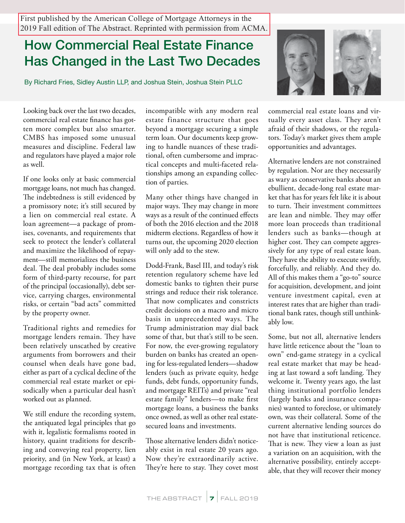First published by the American College of Mortgage Attorneys in the 2019 Fall edition of The Abstract. Reprinted with permission from ACMA.

## **How Commercial Real Estate Finance Has Changed in the Last Two Decades**

By Richard Fries, Sidley Austin LLP, and Joshua Stein, Joshua Stein PLLC



Looking back over the last two decades, commercial real estate finance has gotten more complex but also smarter. CMBS has imposed some unusual measures and discipline. Federal law and regulators have played a major role as well.

If one looks only at basic commercial mortgage loans, not much has changed. The indebtedness is still evidenced by a promissory note; it's still secured by a lien on commercial real estate. A loan agreement—a package of promises, covenants, and requirements that seek to protect the lender's collateral and maximize the likelihood of repayment—still memorializes the business deal. The deal probably includes some form of third-party recourse, for part of the principal (occasionally), debt service, carrying charges, environmental risks, or certain "bad acts" committed by the property owner.

Traditional rights and remedies for mortgage lenders remain. They have been relatively unscathed by creative arguments from borrowers and their counsel when deals have gone bad, either as part of a cyclical decline of the commercial real estate market or episodically when a particular deal hasn't worked out as planned.

We still endure the recording system, the antiquated legal principles that go with it, legalistic formalisms rooted in history, quaint traditions for describing and conveying real property, lien priority, and (in New York, at least) a mortgage recording tax that is often

incompatible with any modern real estate finance structure that goes beyond a mortgage securing a simple term loan. Our documents keep growing to handle nuances of these traditional, often cumbersome and impractical concepts and multi-faceted relationships among an expanding collection of parties.

Many other things have changed in major ways. They may change in more ways as a result of the continued effects of both the 2016 election and the 2018 midterm elections. Regardless of how it turns out, the upcoming 2020 election will only add to the stew.

Dodd-Frank, Basel III, and today's risk retention regulatory scheme have led domestic banks to tighten their purse strings and reduce their risk tolerance. That now complicates and constricts credit decisions on a macro and micro basis in unprecedented ways. The Trump administration may dial back some of that, but that's still to be seen. For now, the ever-growing regulatory burden on banks has created an opening for less-regulated lenders—shadow lenders (such as private equity, hedge funds, debt funds, opportunity funds, and mortgage REITs) and private "real estate family" lenders—to make first mortgage loans, a business the banks once owned, as well as other real estatesecured loans and investments.

Those alternative lenders didn't noticeably exist in real estate 20 years ago. Now they're extraordinarily active. They're here to stay. They covet most

commercial real estate loans and virtually every asset class. They aren't afraid of their shadows, or the regulators. Today's market gives them ample opportunities and advantages.

Alternative lenders are not constrained by regulation. Nor are they necessarily as wary as conservative banks about an ebullient, decade-long real estate market that has for years felt like it is about to turn. Their investment committees are lean and nimble. They may offer more loan proceeds than traditional lenders such as banks—though at higher cost. They can compete aggressively for any type of real estate loan. They have the ability to execute swiftly, forcefully, and reliably. And they do. All of this makes them a "go-to" source for acquisition, development, and joint venture investment capital, even at interest rates that are higher than traditional bank rates, though still unthinkably low.

Some, but not all, alternative lenders have little reticence about the "loan to own" end-game strategy in a cyclical real estate market that may be heading at last toward a soft landing. They welcome it. Twenty years ago, the last thing institutional portfolio lenders (largely banks and insurance companies) wanted to foreclose, or ultimately own, was their collateral. Some of the current alternative lending sources do not have that institutional reticence. That is new. They view a loan as just a variation on an acquisition, with the alternative possibility, entirely acceptable, that they will recover their money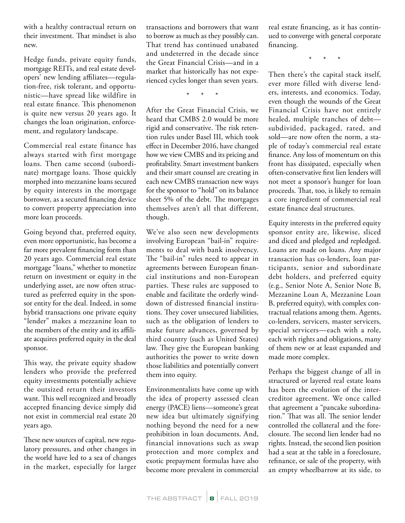with a healthy contractual return on their investment. That mindset is also new.

Hedge funds, private equity funds, mortgage REITs, and real estate developers' new lending affiliates—regulation-free, risk tolerant, and opportunistic—have spread like wildfire in real estate finance. This phenomenon is quite new versus 20 years ago. It changes the loan origination, enforcement, and regulatory landscape.

Commercial real estate finance has always started with first mortgage loans. Then came second (subordinate) mortgage loans. Those quickly morphed into mezzanine loans secured by equity interests in the mortgage borrower, as a secured financing device to convert property appreciation into more loan proceeds.

Going beyond that, preferred equity, even more opportunistic, has become a far more prevalent financing form than 20 years ago. Commercial real estate mortgage "loans," whether to monetize return on investment or equity in the underlying asset, are now often structured as preferred equity in the sponsor entity for the deal. Indeed, in some hybrid transactions one private equity "lender" makes a mezzanine loan to the members of the entity and its affiliate acquires preferred equity in the deal sponsor.

This way, the private equity shadow lenders who provide the preferred equity investments potentially achieve the outsized return their investors want. This well recognized and broadly accepted financing device simply did not exist in commercial real estate 20 years ago.

These new sources of capital, new regulatory pressures, and other changes in the world have led to a sea of changes in the market, especially for larger

transactions and borrowers that want to borrow as much as they possibly can. That trend has continued unabated and undeterred in the decade since the Great Financial Crisis—and in a market that historically has not experienced cycles longer than seven years.

\* \* \*

After the Great Financial Crisis, we heard that CMBS 2.0 would be more rigid and conservative. The risk retention rules under Basel III, which took effect in December 2016, have changed how we view CMBS and its pricing and profitability. Smart investment bankers and their smart counsel are creating in each new CMBS transaction new ways for the sponsor to "hold" on its balance sheet 5% of the debt. The mortgages themselves aren't all that different, though.

We've also seen new developments involving European "bail-in" requirements to deal with bank insolvency. The "bail-in" rules need to appear in agreements between European financial institutions and non-European parties. These rules are supposed to enable and facilitate the orderly winddown of distressed financial institutions. They cover unsecured liabilities, such as the obligation of lenders to make future advances, governed by third country (such as United States) law. They give the European banking authorities the power to write down those liabilities and potentially convert them into equity.

Environmentalists have come up with the idea of property assessed clean energy (PACE) liens—someone's great new idea but ultimately signifying nothing beyond the need for a new prohibition in loan documents. And, financial innovations such as swap protection and more complex and exotic prepayment formulas have also become more prevalent in commercial

real estate financing, as it has continued to converge with general corporate financing.

\* \* \*

Then there's the capital stack itself, ever more filled with diverse lenders, interests, and economics. Today, even though the wounds of the Great Financial Crisis have not entirely healed, multiple tranches of debt subdivided, packaged, rated, and sold—are now often the norm, a staple of today's commercial real estate finance. Any loss of momentum on this front has dissipated, especially when often-conservative first lien lenders will not meet a sponsor's hunger for loan proceeds. That, too, is likely to remain a core ingredient of commercial real estate finance deal structures.

Equity interests in the preferred equity sponsor entity are, likewise, sliced and diced and pledged and repledged. Loans are made on loans. Any major transaction has co-lenders, loan participants, senior and subordinate debt holders, and preferred equity (e.g., Senior Note A, Senior Note B, Mezzanine Loan A, Mezzanine Loan B, preferred equity), with complex contractual relations among them. Agents, co-lenders, servicers, master servicers, special servicers—each with a role, each with rights and obligations, many of them new or at least expanded and made more complex.

Perhaps the biggest change of all in structured or layered real estate loans has been the evolution of the intercreditor agreement. We once called that agreement a "pancake subordination." That was all. The senior lender controlled the collateral and the foreclosure. The second lien lender had no rights. Instead, the second lien position had a seat at the table in a foreclosure, refinance, or sale of the property, with an empty wheelbarrow at its side, to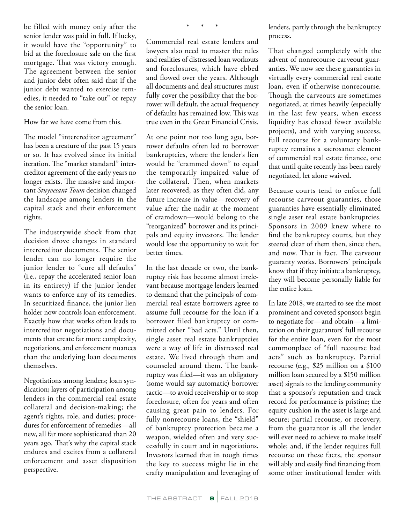be filled with money only after the senior lender was paid in full. If lucky, it would have the "opportunity" to bid at the foreclosure sale on the first mortgage. That was victory enough. The agreement between the senior and junior debt often said that if the junior debt wanted to exercise remedies, it needed to "take out" or repay the senior loan.

How far we have come from this.

The model "intercreditor agreement" has been a creature of the past 15 years or so. It has evolved since its initial iteration. The "market standard" intercreditor agreement of the early years no longer exists. The massive and important *Stuyvesant Town* decision changed the landscape among lenders in the capital stack and their enforcement rights.

The industrywide shock from that decision drove changes in standard intercreditor documents. The senior lender can no longer require the junior lender to "cure all defaults" (i.e., repay the accelerated senior loan in its entirety) if the junior lender wants to enforce any of its remedies. In securitized finance, the junior lien holder now controls loan enforcement. Exactly how that works often leads to intercreditor negotiations and documents that create far more complexity, negotiations, and enforcement nuances than the underlying loan documents themselves.

Negotiations among lenders; loan syndication; layers of participation among lenders in the commercial real estate collateral and decision-making; the agent's rights, role, and duties; procedures for enforcement of remedies—all new, all far more sophisticated than 20 years ago. That's why the capital stack endures and excites from a collateral enforcement and asset disposition perspective.

\* \* \*

Commercial real estate lenders and lawyers also need to master the rules and realities of distressed loan workouts and foreclosures, which have ebbed and flowed over the years. Although all documents and deal structures must fully cover the possibility that the borrower will default, the actual frequency of defaults has remained low. This was true even in the Great Financial Crisis.

At one point not too long ago, borrower defaults often led to borrower bankruptcies, where the lender's lien would be "crammed down" to equal the temporarily impaired value of the collateral. Then, when markets later recovered, as they often did, any future increase in value—recovery of value after the nadir at the moment of cramdown—would belong to the "reorganized" borrower and its principals and equity investors. The lender would lose the opportunity to wait for better times.

In the last decade or two, the bankruptcy risk has become almost irrelevant because mortgage lenders learned to demand that the principals of commercial real estate borrowers agree to assume full recourse for the loan if a borrower filed bankruptcy or committed other "bad acts." Until then, single asset real estate bankruptcies were a way of life in distressed real estate. We lived through them and counseled around them. The bankruptcy was filed—it was an obligatory (some would say automatic) borrower tactic—to avoid receivership or to stop foreclosure, often for years and often causing great pain to lenders. For fully nonrecourse loans, the "shield" of bankruptcy protection became a weapon, wielded often and very successfully in court and in negotiations. Investors learned that in tough times the key to success might lie in the crafty manipulation and leveraging of lenders, partly through the bankruptcy process.

That changed completely with the advent of nonrecourse carveout guaranties. We now see these guaranties in virtually every commercial real estate loan, even if otherwise nonrecourse. Though the carveouts are sometimes negotiated, at times heavily (especially in the last few years, when excess liquidity has chased fewer available projects), and with varying success, full recourse for a voluntary bankruptcy remains a sacrosanct element of commercial real estate finance, one that until quite recently has been rarely negotiated, let alone waived.

Because courts tend to enforce full recourse carveout guaranties, those guaranties have essentially eliminated single asset real estate bankruptcies. Sponsors in 2009 knew where to find the bankruptcy courts, but they steered clear of them then, since then, and now. That is fact. The carveout guaranty works. Borrowers' principals know that if they initiate a bankruptcy, they will become personally liable for the entire loan.

In late 2018, we started to see the most prominent and coveted sponsors begin to negotiate for—and obtain—a limitation on their guarantors' full recourse for the entire loan, even for the most commonplace of "full recourse bad acts" such as bankruptcy. Partial recourse (e.g., \$25 million on a \$100 million loan secured by a \$150 million asset) signals to the lending community that a sponsor's reputation and track record for performance is pristine; the equity cushion in the asset is large and secure; partial recourse, or recovery, from the guarantor is all the lender will ever need to achieve to make itself whole; and, if the lender requires full recourse on these facts, the sponsor will ably and easily find financing from some other institutional lender with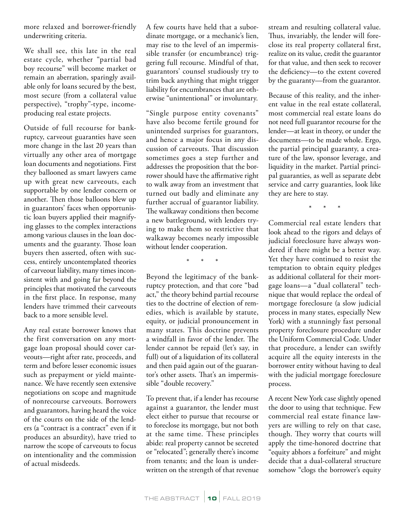more relaxed and borrower-friendly underwriting criteria.

We shall see, this late in the real estate cycle, whether "partial bad boy recourse" will become market or remain an aberration, sparingly available only for loans secured by the best, most secure (from a collateral value perspective), "trophy"-type, incomeproducing real estate projects.

Outside of full recourse for bankruptcy, carveout guaranties have seen more change in the last 20 years than virtually any other area of mortgage loan documents and negotiations. First they ballooned as smart lawyers came up with great new carveouts, each supportable by one lender concern or another. Then those balloons blew up in guarantors' faces when opportunistic loan buyers applied their magnifying glasses to the complex interactions among various clauses in the loan documents and the guaranty. Those loan buyers then asserted, often with success, entirely uncontemplated theories of carveout liability, many times inconsistent with and going far beyond the principles that motivated the carveouts in the first place. In response, many lenders have trimmed their carveouts back to a more sensible level.

Any real estate borrower knows that the first conversation on any mortgage loan proposal should cover carveouts—right after rate, proceeds, and term and before lesser economic issues such as prepayment or yield maintenance. We have recently seen extensive negotiations on scope and magnitude of nonrecourse carveouts. Borrowers and guarantors, having heard the voice of the courts on the side of the lenders (a "contract is a contract" even if it produces an absurdity), have tried to narrow the scope of carveouts to focus on intentionality and the commission of actual misdeeds.

A few courts have held that a subordinate mortgage, or a mechanic's lien, may rise to the level of an impermissible transfer (or encumbrance) triggering full recourse. Mindful of that, guarantors' counsel studiously try to trim back anything that might trigger liability for encumbrances that are otherwise "unintentional" or involuntary.

"Single purpose entity covenants" have also become fertile ground for unintended surprises for guarantors, and hence a major focus in any discussion of carveouts. That discussion sometimes goes a step further and addresses the proposition that the borrower should have the affirmative right to walk away from an investment that turned out badly and eliminate any further accrual of guarantor liability. The walkaway conditions then become a new battleground, with lenders trying to make them so restrictive that walkaway becomes nearly impossible without lender cooperation.

\* \* \*

Beyond the legitimacy of the bankruptcy protection, and that core "bad act," the theory behind partial recourse ties to the doctrine of election of remedies, which is available by statute, equity, or judicial pronouncement in many states. This doctrine prevents a windfall in favor of the lender. The lender cannot be repaid (let's say, in full) out of a liquidation of its collateral and then paid again out of the guarantor's other assets. That's an impermissible "double recovery."

To prevent that, if a lender has recourse against a guarantor, the lender must elect either to pursue that recourse or to foreclose its mortgage, but not both at the same time. These principles abide: real property cannot be secreted or "relocated"; generally there's income from tenants; and the loan is underwritten on the strength of that revenue

stream and resulting collateral value. Thus, invariably, the lender will foreclose its real property collateral first, realize on its value, credit the guarantor for that value, and then seek to recover the deficiency—to the extent covered by the guaranty—from the guarantor.

Because of this reality, and the inherent value in the real estate collateral, most commercial real estate loans do not need full guarantor recourse for the lender—at least in theory, or under the documents—to be made whole. Ergo, the partial principal guaranty, a creature of the law, sponsor leverage, and liquidity in the market. Partial principal guaranties, as well as separate debt service and carry guaranties, look like they are here to stay.

\* \* \*

Commercial real estate lenders that look ahead to the rigors and delays of judicial foreclosure have always wondered if there might be a better way. Yet they have continued to resist the temptation to obtain equity pledges as additional collateral for their mortgage loans—a "dual collateral" technique that would replace the ordeal of mortgage foreclosure (a slow judicial process in many states, especially New York) with a stunningly fast personal property foreclosure procedure under the Uniform Commercial Code. Under that procedure, a lender can swiftly acquire all the equity interests in the borrower entity without having to deal with the judicial mortgage foreclosure process.

A recent New York case slightly opened the door to using that technique. Few commercial real estate finance lawyers are willing to rely on that case, though. They worry that courts will apply the time-honored doctrine that "equity abhors a forfeiture" and might decide that a dual-collateral structure somehow "clogs the borrower's equity